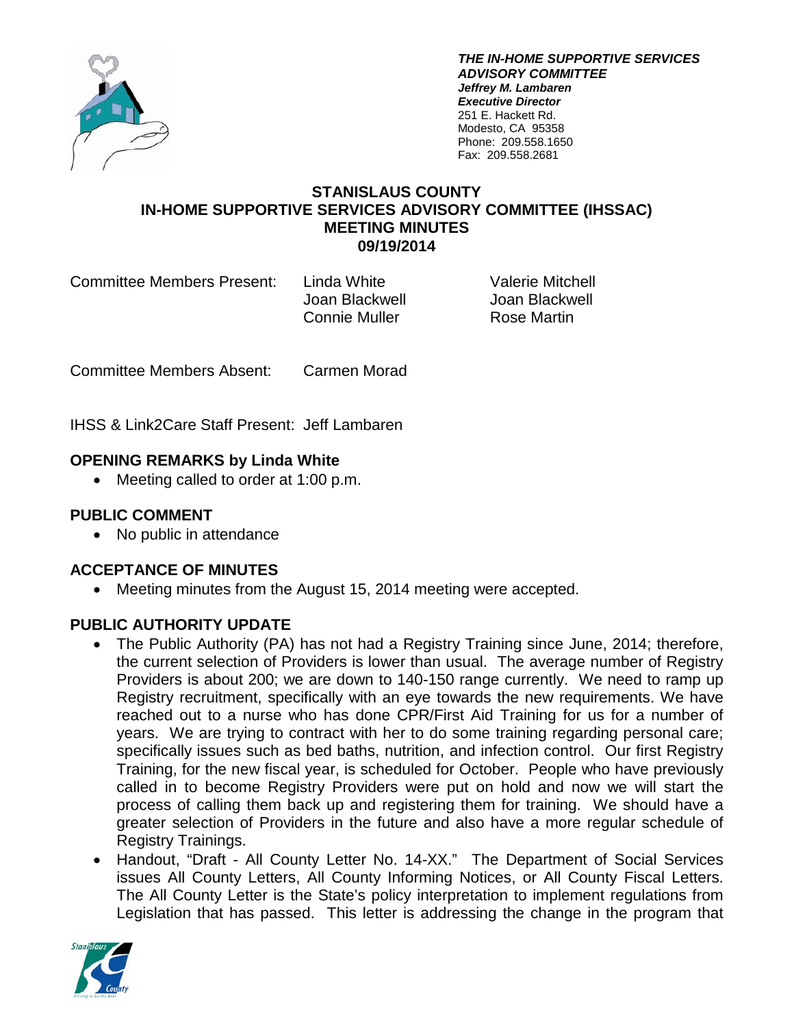

*THE IN-HOME SUPPORTIVE SERVICES ADVISORY COMMITTEE Jeffrey M. Lambaren Executive Director* 251 E. Hackett Rd. Modesto, CA 95358 Phone: 209.558.1650 Fax: 209.558.2681

#### **STANISLAUS COUNTY IN-HOME SUPPORTIVE SERVICES ADVISORY COMMITTEE (IHSSAC) MEETING MINUTES 09/19/2014**

Committee Members Present: Linda White Valerie Mitchell

Joan Blackwell Joan Blackwell Connie Muller Rose Martin

Committee Members Absent: Carmen Morad

IHSS & Link2Care Staff Present: Jeff Lambaren

# **OPENING REMARKS by Linda White**

• Meeting called to order at 1:00 p.m.

# **PUBLIC COMMENT**

• No public in attendance

# **ACCEPTANCE OF MINUTES**

• Meeting minutes from the August 15, 2014 meeting were accepted.

# **PUBLIC AUTHORITY UPDATE**

- The Public Authority (PA) has not had a Registry Training since June, 2014; therefore, the current selection of Providers is lower than usual. The average number of Registry Providers is about 200; we are down to 140-150 range currently. We need to ramp up Registry recruitment, specifically with an eye towards the new requirements. We have reached out to a nurse who has done CPR/First Aid Training for us for a number of years. We are trying to contract with her to do some training regarding personal care; specifically issues such as bed baths, nutrition, and infection control. Our first Registry Training, for the new fiscal year, is scheduled for October. People who have previously called in to become Registry Providers were put on hold and now we will start the process of calling them back up and registering them for training. We should have a greater selection of Providers in the future and also have a more regular schedule of Registry Trainings.
- Handout, "Draft All County Letter No. 14-XX." The Department of Social Services issues All County Letters, All County Informing Notices, or All County Fiscal Letters. The All County Letter is the State's policy interpretation to implement regulations from Legislation that has passed. This letter is addressing the change in the program that

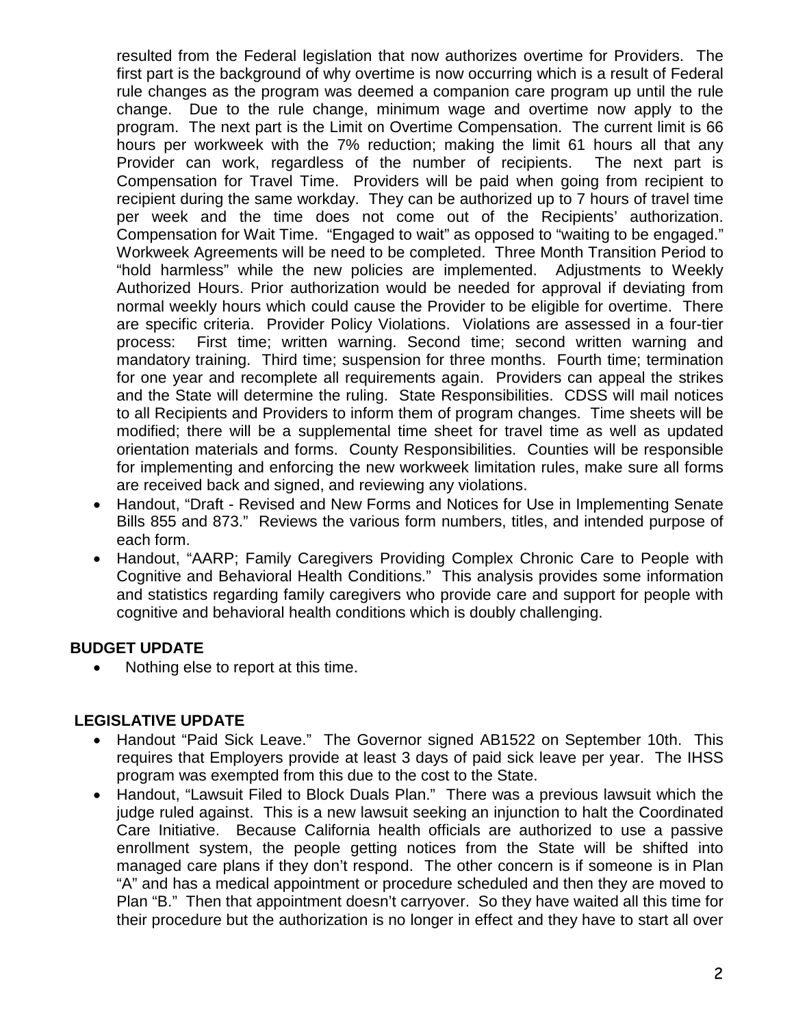resulted from the Federal legislation that now authorizes overtime for Providers. The first part is the background of why overtime is now occurring which is a result of Federal rule changes as the program was deemed a companion care program up until the rule change. Due to the rule change, minimum wage and overtime now apply to the program. The next part is the Limit on Overtime Compensation. The current limit is 66 hours per workweek with the 7% reduction; making the limit 61 hours all that any Provider can work, regardless of the number of recipients. The next part is Compensation for Travel Time. Providers will be paid when going from recipient to recipient during the same workday. They can be authorized up to 7 hours of travel time per week and the time does not come out of the Recipients' authorization. Compensation for Wait Time. "Engaged to wait" as opposed to "waiting to be engaged." Workweek Agreements will be need to be completed. Three Month Transition Period to "hold harmless" while the new policies are implemented. Adjustments to Weekly Authorized Hours. Prior authorization would be needed for approval if deviating from normal weekly hours which could cause the Provider to be eligible for overtime. There are specific criteria. Provider Policy Violations. Violations are assessed in a four-tier process: First time; written warning. Second time; second written warning and mandatory training. Third time; suspension for three months. Fourth time; termination for one year and recomplete all requirements again. Providers can appeal the strikes and the State will determine the ruling. State Responsibilities. CDSS will mail notices to all Recipients and Providers to inform them of program changes. Time sheets will be modified; there will be a supplemental time sheet for travel time as well as updated orientation materials and forms. County Responsibilities. Counties will be responsible for implementing and enforcing the new workweek limitation rules, make sure all forms are received back and signed, and reviewing any violations.

- Handout, "Draft Revised and New Forms and Notices for Use in Implementing Senate Bills 855 and 873." Reviews the various form numbers, titles, and intended purpose of each form.
- Handout, "AARP; Family Caregivers Providing Complex Chronic Care to People with Cognitive and Behavioral Health Conditions." This analysis provides some information and statistics regarding family caregivers who provide care and support for people with cognitive and behavioral health conditions which is doubly challenging.

# **BUDGET UPDATE**

• Nothing else to report at this time.

#### **LEGISLATIVE UPDATE**

- Handout "Paid Sick Leave." The Governor signed AB1522 on September 10th. This requires that Employers provide at least 3 days of paid sick leave per year. The IHSS program was exempted from this due to the cost to the State.
- Handout, "Lawsuit Filed to Block Duals Plan." There was a previous lawsuit which the judge ruled against. This is a new lawsuit seeking an injunction to halt the Coordinated Care Initiative. Because California health officials are authorized to use a passive enrollment system, the people getting notices from the State will be shifted into managed care plans if they don't respond. The other concern is if someone is in Plan "A" and has a medical appointment or procedure scheduled and then they are moved to Plan "B." Then that appointment doesn't carryover. So they have waited all this time for their procedure but the authorization is no longer in effect and they have to start all over